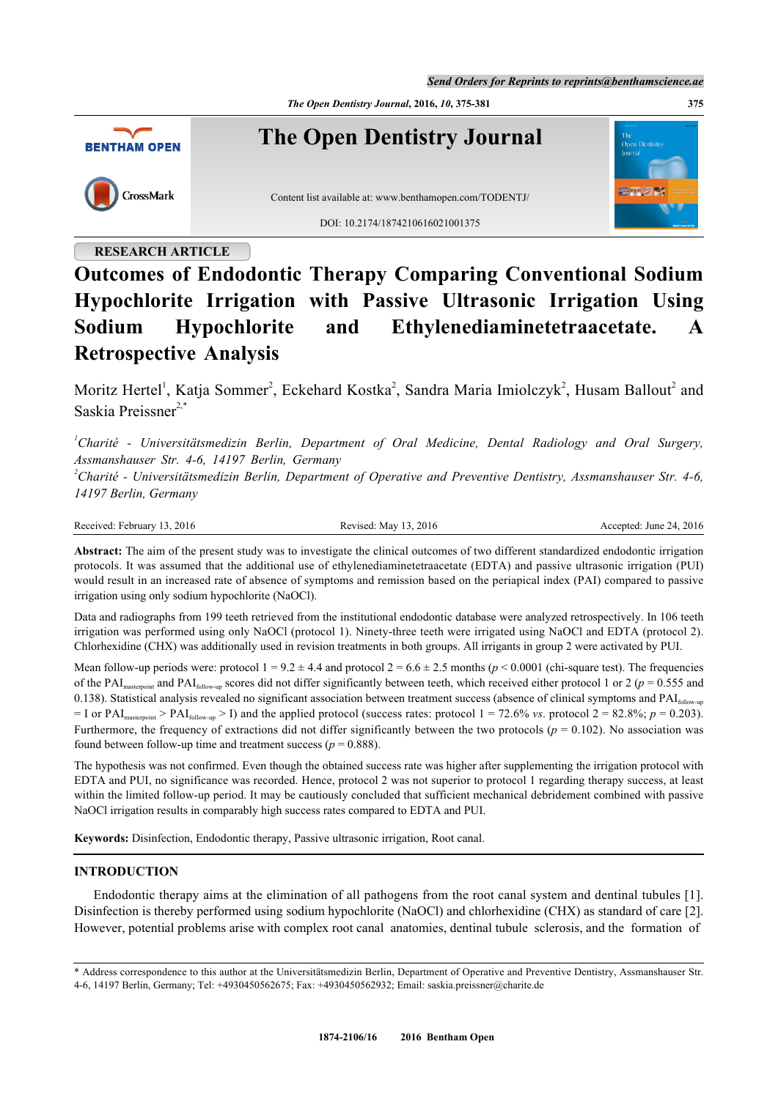*The Open Dentistry Journal***, 2016,** *10***, 375-381 375**



# **RESEARCH ARTICLE**

# **Outcomes of Endodontic Therapy Comparing Conventional Sodium Hypochlorite Irrigation with Passive Ultrasonic Irrigation Using Sodium Hypochlorite and Ethylenediaminetetraacetate. A Retrospective Analysis**

Moritz Hertel<sup>[1](#page-0-0)</sup>, Katja Sommer<sup>[2](#page-0-1)</sup>, Eckehard Kostka<sup>2</sup>, Sandra Maria Imiolczyk<sup>2</sup>, Husam Ballout<sup>2</sup> and Saskia Preissner[2](#page-0-1),[\\*](#page-0-2)

<span id="page-0-0"></span>*<sup>1</sup>Charité - Universitätsmedizin Berlin, Department of Oral Medicine, Dental Radiology and Oral Surgery, Assmanshauser Str. 4-6, 14197 Berlin, Germany*

<span id="page-0-1"></span>*<sup>2</sup>Charité - Universitätsmedizin Berlin, Department of Operative and Preventive Dentistry, Assmanshauser Str. 4-6, 14197 Berlin, Germany*

Received: February 13, 2016 Revised: May 13, 2016 Revised: May 13, 2016 Accepted: June 24, 2016

**Abstract:** The aim of the present study was to investigate the clinical outcomes of two different standardized endodontic irrigation protocols. It was assumed that the additional use of ethylenediaminetetraacetate (EDTA) and passive ultrasonic irrigation (PUI) would result in an increased rate of absence of symptoms and remission based on the periapical index (PAI) compared to passive irrigation using only sodium hypochlorite (NaOCl).

Data and radiographs from 199 teeth retrieved from the institutional endodontic database were analyzed retrospectively. In 106 teeth irrigation was performed using only NaOCl (protocol 1). Ninety-three teeth were irrigated using NaOCl and EDTA (protocol 2). Chlorhexidine (CHX) was additionally used in revision treatments in both groups. All irrigants in group 2 were activated by PUI.

Mean follow-up periods were: protocol  $1 = 9.2 \pm 4.4$  and protocol  $2 = 6.6 \pm 2.5$  months ( $p \le 0.0001$  (chi-square test). The frequencies of the PAI<sub>masterpoint</sub> and PAI<sub>follow-up</sub> scores did not differ significantly between teeth, which received either protocol 1 or 2 ( $p = 0.555$  and 0.138). Statistical analysis revealed no significant association between treatment success (absence of clinical symptoms and PAI<sub>follow-up</sub>  $=$  I or PAI<sub>masterpoint</sub> > PAI<sub>follow-up</sub> > I) and the applied protocol (success rates: protocol 1 = 72.6% *vs*. protocol 2 = 82.8%; *p* = 0.203). Furthermore, the frequency of extractions did not differ significantly between the two protocols ( $p = 0.102$ ). No association was found between follow-up time and treatment success ( $p = 0.888$ ).

The hypothesis was not confirmed. Even though the obtained success rate was higher after supplementing the irrigation protocol with EDTA and PUI, no significance was recorded. Hence, protocol 2 was not superior to protocol 1 regarding therapy success, at least within the limited follow-up period. It may be cautiously concluded that sufficient mechanical debridement combined with passive NaOCl irrigation results in comparably high success rates compared to EDTA and PUI.

**Keywords:** Disinfection, Endodontic therapy, Passive ultrasonic irrigation, Root canal.

# **INTRODUCTION**

Endodontic therapy aims at the elimination of all pathogens from the root canal system and dentinal tubules [[1\]](#page-5-0). Disinfection is thereby performed using sodium hypochlorite (NaOCl) and chlorhexidine (CHX) as standard of care [[2\]](#page-5-1). However, potential problems arise with complex root canal anatomies, dentinal tubule sclerosis, and the formation of

<span id="page-0-2"></span><sup>\*</sup> Address correspondence to this author at the Universitätsmedizin Berlin, Department of Operative and Preventive Dentistry, Assmanshauser Str. 4-6, 14197 Berlin, Germany; Tel: +4930450562675; Fax: +4930450562932; Email: [saskia.preissner@charite.de](mailto:saskia.preissner@charite.de)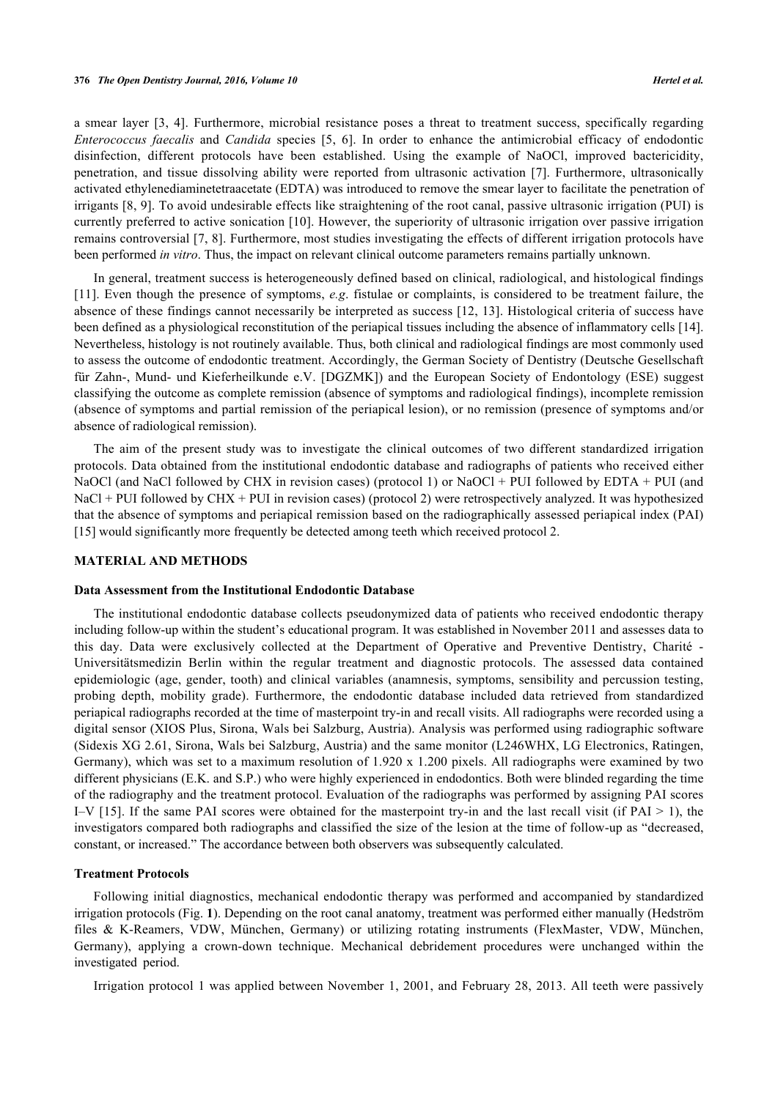a smear layer[[3,](#page-5-2) [4](#page-5-3)]. Furthermore, microbial resistance poses a threat to treatment success, specifically regarding *Enterococcus faecalis* and *Candida* species [\[5,](#page-5-4) [6\]](#page-6-0). In order to enhance the antimicrobial efficacy of endodontic disinfection, different protocols have been established. Using the example of NaOCl, improved bactericidity, penetration, and tissue dissolving ability were reported from ultrasonic activation[[7](#page-6-1)]. Furthermore, ultrasonically activated ethylenediaminetetraacetate (EDTA) was introduced to remove the smear layer to facilitate the penetration of irrigants [[8](#page-6-2), [9\]](#page-6-3). To avoid undesirable effects like straightening of the root canal, passive ultrasonic irrigation (PUI) is currently preferred to active sonication [\[10\]](#page-6-4). However, the superiority of ultrasonic irrigation over passive irrigation remains controversial [[7,](#page-6-1) [8](#page-6-2)]. Furthermore, most studies investigating the effects of different irrigation protocols have been performed *in vitro*. Thus, the impact on relevant clinical outcome parameters remains partially unknown.

In general, treatment success is heterogeneously defined based on clinical, radiological, and histological findings [\[11](#page-6-5)]. Even though the presence of symptoms, *e.g*. fistulae or complaints, is considered to be treatment failure, the absence of these findings cannot necessarily be interpreted as success [\[12](#page-6-6), [13](#page-6-7)]. Histological criteria of success have been defined as a physiological reconstitution of the periapical tissues including the absence of inflammatory cells [[14\]](#page-6-8). Nevertheless, histology is not routinely available. Thus, both clinical and radiological findings are most commonly used to assess the outcome of endodontic treatment. Accordingly, the German Society of Dentistry (Deutsche Gesellschaft für Zahn-, Mund- und Kieferheilkunde e.V. [DGZMK]) and the European Society of Endontology (ESE) suggest classifying the outcome as complete remission (absence of symptoms and radiological findings), incomplete remission (absence of symptoms and partial remission of the periapical lesion), or no remission (presence of symptoms and/or absence of radiological remission).

The aim of the present study was to investigate the clinical outcomes of two different standardized irrigation protocols. Data obtained from the institutional endodontic database and radiographs of patients who received either NaOCl (and NaCl followed by CHX in revision cases) (protocol 1) or NaOCl + PUI followed by EDTA + PUI (and NaCl + PUI followed by CHX + PUI in revision cases) (protocol 2) were retrospectively analyzed. It was hypothesized that the absence of symptoms and periapical remission based on the radiographically assessed periapical index (PAI) [\[15](#page-6-9)] would significantly more frequently be detected among teeth which received protocol 2.

### **MATERIAL AND METHODS**

# **Data Assessment from the Institutional Endodontic Database**

The institutional endodontic database collects pseudonymized data of patients who received endodontic therapy including follow-up within the student's educational program. It was established in November 2011 and assesses data to this day. Data were exclusively collected at the Department of Operative and Preventive Dentistry, Charité - Universitätsmedizin Berlin within the regular treatment and diagnostic protocols. The assessed data contained epidemiologic (age, gender, tooth) and clinical variables (anamnesis, symptoms, sensibility and percussion testing, probing depth, mobility grade). Furthermore, the endodontic database included data retrieved from standardized periapical radiographs recorded at the time of masterpoint try-in and recall visits. All radiographs were recorded using a digital sensor (XIOS Plus, Sirona, Wals bei Salzburg, Austria). Analysis was performed using radiographic software (Sidexis XG 2.61, Sirona, Wals bei Salzburg, Austria) and the same monitor (L246WHX, LG Electronics, Ratingen, Germany), which was set to a maximum resolution of 1.920 x 1.200 pixels. All radiographs were examined by two different physicians (E.K. and S.P.) who were highly experienced in endodontics. Both were blinded regarding the time of the radiography and the treatment protocol. Evaluation of the radiographs was performed by assigning PAI scores I–V [\[15\]](#page-6-9). If the same PAI scores were obtained for the masterpoint try-in and the last recall visit (if  $PAI > 1$ ), the investigators compared both radiographs and classified the size of the lesion at the time of follow-up as "decreased, constant, or increased." The accordance between both observers was subsequently calculated.

### **Treatment Protocols**

Following initial diagnostics, mechanical endodontic therapy was performed and accompanied by standardized irrigation protocols (Fig. **[1](#page-2-0)**). Depending on the root canal anatomy, treatment was performed either manually (Hedström files & K-Reamers, VDW, München, Germany) or utilizing rotating instruments (FlexMaster, VDW, München, Germany), applying a crown-down technique. Mechanical debridement procedures were unchanged within the investigated period.

Irrigation protocol 1 was applied between November 1, 2001, and February 28, 2013. All teeth were passively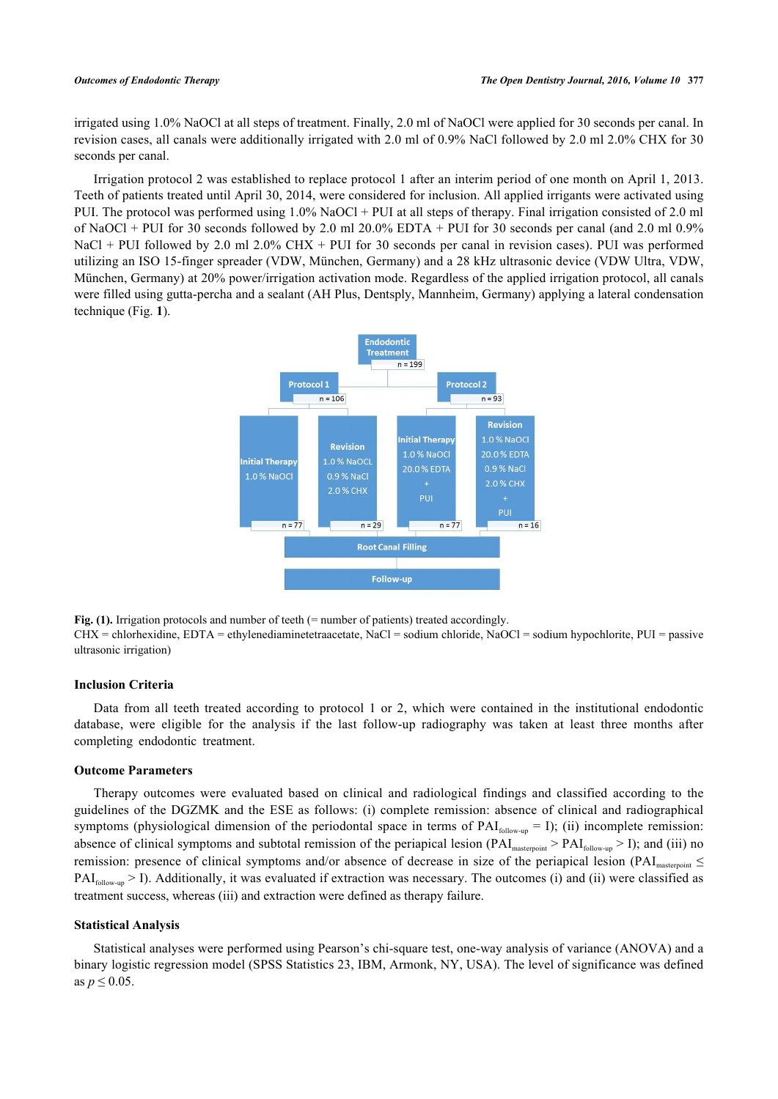irrigated using 1.0% NaOCl at all steps of treatment. Finally, 2.0 ml of NaOCl were applied for 30 seconds per canal. In revision cases, all canals were additionally irrigated with 2.0 ml of 0.9% NaCl followed by 2.0 ml 2.0% CHX for 30 seconds per canal.

<span id="page-2-0"></span>Irrigation protocol 2 was established to replace protocol 1 after an interim period of one month on April 1, 2013. Teeth of patients treated until April 30, 2014, were considered for inclusion. All applied irrigants were activated using PUI. The protocol was performed using 1.0% NaOCl + PUI at all steps of therapy. Final irrigation consisted of 2.0 ml of NaOCl + PUI for 30 seconds followed by 2.0 ml 20.0% EDTA + PUI for 30 seconds per canal (and 2.0 ml 0.9% NaCl + PUI followed by 2.0 ml 2.0% CHX + PUI for 30 seconds per canal in revision cases). PUI was performed utilizing an ISO 15-finger spreader (VDW, München, Germany) and a 28 kHz ultrasonic device (VDW Ultra, VDW, München, Germany) at 20% power/irrigation activation mode. Regardless of the applied irrigation protocol, all canals were filled using gutta-percha and a sealant (AH Plus, Dentsply, Mannheim, Germany) applying a lateral condensation technique (Fig. **[1](#page-2-0)**).



Fig. (1). Irrigation protocols and number of teeth (= number of patients) treated accordingly. CHX = chlorhexidine, EDTA = ethylenediaminetetraacetate, NaCl = sodium chloride, NaOCl = sodium hypochlorite, PUI = passive ultrasonic irrigation)

# **Inclusion Criteria**

Data from all teeth treated according to protocol 1 or 2, which were contained in the institutional endodontic database, were eligible for the analysis if the last follow-up radiography was taken at least three months after completing endodontic treatment.

# **Outcome Parameters**

Therapy outcomes were evaluated based on clinical and radiological findings and classified according to the guidelines of the DGZMK and the ESE as follows: (i) complete remission: absence of clinical and radiographical symptoms (physiological dimension of the periodontal space in terms of  $\text{PAI}_{\text{follow-up}} = I$ ); (ii) incomplete remission: absence of clinical symptoms and subtotal remission of the periapical lesion ( $PAI_{\text{masterpoint}}$  >  $PAI_{\text{follow-up}}$  > I); and (iii) no remission: presence of clinical symptoms and/or absence of decrease in size of the periapical lesion (PAI<sub>masterpoint</sub>  $\leq$  $PAI_{\text{follow-up}}$  > I). Additionally, it was evaluated if extraction was necessary. The outcomes (i) and (ii) were classified as treatment success, whereas (iii) and extraction were defined as therapy failure.

# **Statistical Analysis**

Statistical analyses were performed using Pearson's chi-square test, one-way analysis of variance (ANOVA) and a binary logistic regression model (SPSS Statistics 23, IBM, Armonk, NY, USA). The level of significance was defined as  $p \le 0.05$ .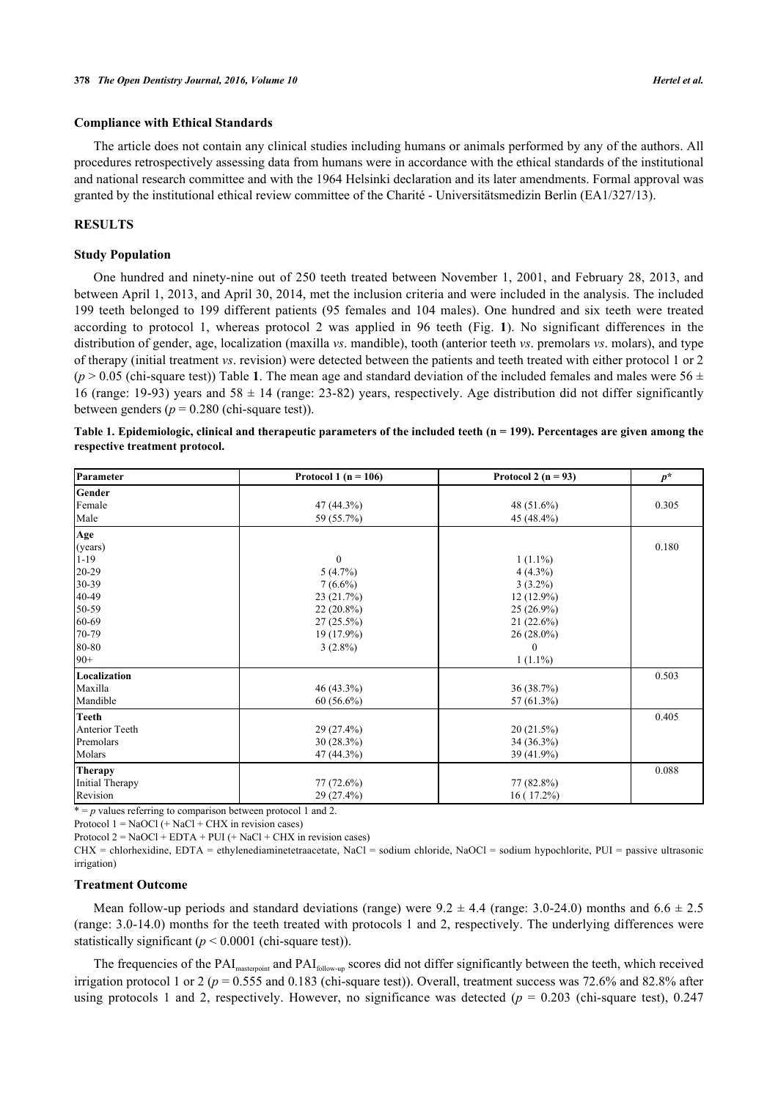# **Compliance with Ethical Standards**

The article does not contain any clinical studies including humans or animals performed by any of the authors. All procedures retrospectively assessing data from humans were in accordance with the ethical standards of the institutional and national research committee and with the 1964 Helsinki declaration and its later amendments. Formal approval was granted by the institutional ethical review committee of the Charité - Universitätsmedizin Berlin (EA1/327/13).

# **RESULTS**

# **Study Population**

One hundred and ninety-nine out of 250 teeth treated between November 1, 2001, and February 28, 2013, and between April 1, 2013, and April 30, 2014, met the inclusion criteria and were included in the analysis. The included 199 teeth belonged to 199 different patients (95 females and 104 males). One hundred and six teeth were treated according to protocol 1, whereas protocol 2 was applied in 96 teeth (Fig.**1**). No significant differences in the distribution of gender, age, localization (maxilla *vs*. mandible), tooth (anterior teeth *vs*. premolars *vs*. molars), and type of therapy (initial treatment *vs*. revision) were detected between the patients and teeth treated with either protocol 1 or 2  $(p > 0.05$  (chi-square test)) Table [1](#page-3-0). The mean age and standard deviation of the included females and males were 56  $\pm$ 16 (range: 19-93) years and 58  $\pm$  14 (range: 23-82) years, respectively. Age distribution did not differ significantly between genders ( $p = 0.280$  (chi-square test)).

<span id="page-3-0"></span>

| Table 1. Epidemiologic, clinical and therapeutic parameters of the included teeth $(n = 199)$ . Percentages are given among the |  |  |
|---------------------------------------------------------------------------------------------------------------------------------|--|--|
| respective treatment protocol.                                                                                                  |  |  |

| Parameter       | Protocol 1 ( $n = 106$ ) | Protocol 2 ( $n = 93$ ) | $p^*$ |
|-----------------|--------------------------|-------------------------|-------|
| Gender          |                          |                         |       |
| Female          | 47 (44.3%)               | 48 (51.6%)              | 0.305 |
| Male            | 59 (55.7%)               | 45 (48.4%)              |       |
| Age             |                          |                         |       |
| (years)         |                          |                         | 0.180 |
| $1 - 19$        | $\mathbf{0}$             | $1(1.1\%)$              |       |
| 20-29           | 5(4.7%)                  | $4(4.3\%)$              |       |
| 30-39           | $7(6.6\%)$               | $3(3.2\%)$              |       |
| 40-49           | 23(21.7%)                | $12(12.9\%)$            |       |
| 50-59           | $22(20.8\%)$             | $25(26.9\%)$            |       |
| 60-69           | $27(25.5\%)$             | $21(22.6\%)$            |       |
| 70-79           | 19 (17.9%)               | 26 (28.0%)              |       |
| 80-80           | $3(2.8\%)$               | $\theta$                |       |
| $90+$           |                          | $1(1.1\%)$              |       |
| Localization    |                          |                         | 0.503 |
| Maxilla         | $46(43.3\%)$             | 36(38.7%)               |       |
| Mandible        | $60(56.6\%)$             | $57(61.3\%)$            |       |
| <b>Teeth</b>    |                          |                         | 0.405 |
| Anterior Teeth  | 29 (27.4%)               | 20(21.5%)               |       |
| Premolars       | 30(28.3%)                | 34 (36.3%)              |       |
| Molars          | 47 (44.3%)               | 39 (41.9%)              |       |
| Therapy         |                          |                         | 0.088 |
| Initial Therapy | 77 (72.6%)               | 77 (82.8%)              |       |
| Revision        | 29 (27.4%)               | $16(17.2\%)$            |       |

 $* = p$  values referring to comparison between protocol 1 and 2.

Protocol  $1 = NaOCl$  (+ NaCl + CHX in revision cases)

Protocol  $2 = NaOCl + EDTA + PUI + NaCl + CHX$  in revision cases)

CHX = chlorhexidine, EDTA = ethylenediaminetetraacetate, NaCl = sodium chloride, NaOCl = sodium hypochlorite, PUI = passive ultrasonic irrigation)

#### **Treatment Outcome**

Mean follow-up periods and standard deviations (range) were  $9.2 \pm 4.4$  (range: 3.0-24.0) months and  $6.6 \pm 2.5$ (range: 3.0-14.0) months for the teeth treated with protocols 1 and 2, respectively. The underlying differences were statistically significant  $(p < 0.0001$  (chi-square test)).

The frequencies of the PAI<sub>masterpoint</sub> and PAI<sub>follow-up</sub> scores did not differ significantly between the teeth, which received irrigation protocol 1 or 2 ( $p = 0.555$  and 0.183 (chi-square test)). Overall, treatment success was 72.6% and 82.8% after using protocols 1 and 2, respectively. However, no significance was detected  $(p = 0.203$  (chi-square test), 0.247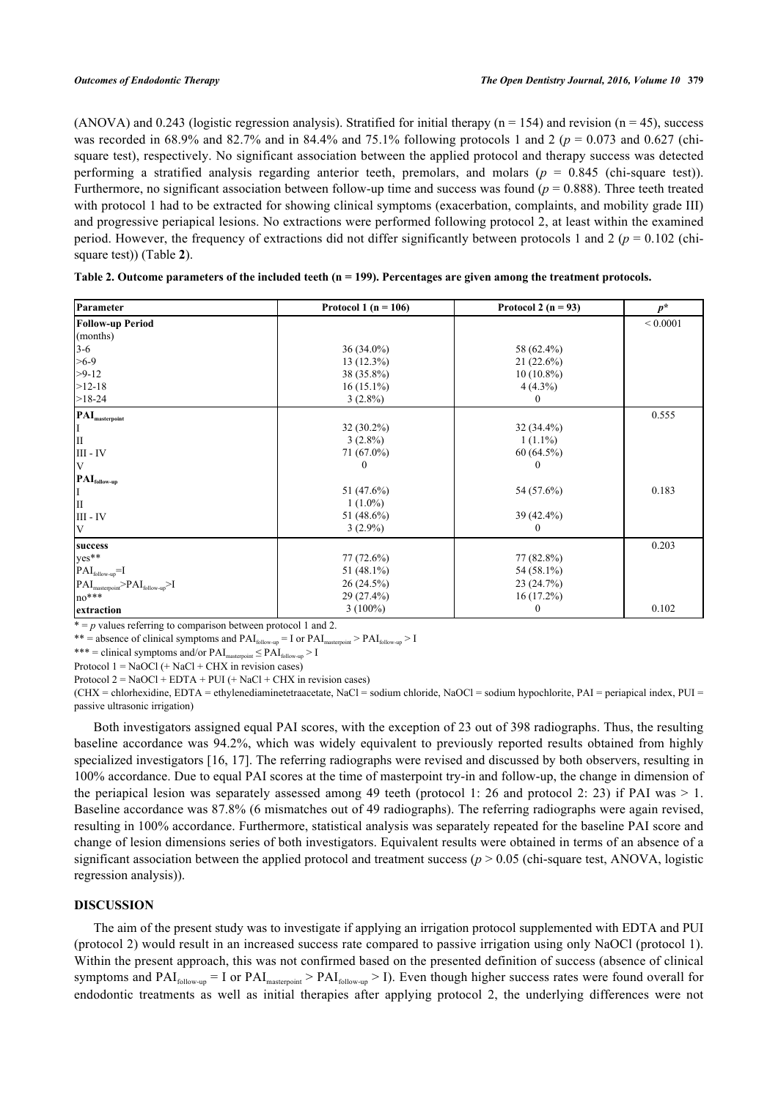(ANOVA) and 0.243 (logistic regression analysis). Stratified for initial therapy ( $n = 154$ ) and revision ( $n = 45$ ), success was recorded in 68.9% and 82.7% and in 84.4% and 75.1% following protocols 1 and 2 (*p* = 0.073 and 0.627 (chisquare test), respectively. No significant association between the applied protocol and therapy success was detected performing a stratified analysis regarding anterior teeth, premolars, and molars (*p* = 0.845 (chi-square test)). Furthermore, no significant association between follow-up time and success was found  $(p = 0.888)$ . Three teeth treated with protocol 1 had to be extracted for showing clinical symptoms (exacerbation, complaints, and mobility grade III) and progressive periapical lesions. No extractions were performed following protocol 2, at least within the examined period. However, the frequency of extractions did not differ significantly between protocols 1 and 2 ( $p = 0.102$  (chisquare test)) (Table **[2](#page-4-0)**).

| Parameter                                               | Protocol 1 ( $n = 106$ ) | Protocol 2 ( $n = 93$ ) | $p^*$        |
|---------------------------------------------------------|--------------------------|-------------------------|--------------|
| <b>Follow-up Period</b>                                 |                          |                         | ${}< 0.0001$ |
| (months)                                                |                          |                         |              |
| $3-6$                                                   | $36(34.0\%)$             | 58 (62.4%)              |              |
| $>6-9$                                                  | $13(12.3\%)$             | $21(22.6\%)$            |              |
| $>9-12$                                                 | 38 (35.8%)               | $10(10.8\%)$            |              |
| $>12-18$                                                | $16(15.1\%)$             | $4(4.3\%)$              |              |
| $>18-24$                                                | $3(2.8\%)$               | $\bf{0}$                |              |
| $\mathbf{PAI}_{\text{masterpoint}}$                     |                          |                         | 0.555        |
| I                                                       | $32(30.2\%)$             | 32 (34.4%)              |              |
| II                                                      | $3(2.8\%)$               | $1(1.1\%)$              |              |
| III - IV                                                | $71(67.0\%)$             | $60(64.5\%)$            |              |
| V                                                       |                          |                         |              |
| $\mathbf{PAI}_\mathrm{follow-up}$                       |                          |                         |              |
| I                                                       | 51 (47.6%)               | 54 (57.6%)              | 0.183        |
| II                                                      | $1(1.0\%)$               |                         |              |
| $III - IV$                                              | 51 (48.6%)               | 39 (42.4%)              |              |
| <b>V</b>                                                | $3(2.9\%)$               | $\bf{0}$                |              |
| success                                                 |                          |                         | 0.203        |
| yes**                                                   | $77(72.6\%)$             | 77 (82.8%)              |              |
| $\mathrm{PAI}_\mathrm{follow-up} \!\!=\!\! I$           | 51 $(48.1\%)$            | 54 (58.1%)              |              |
| $PAI_{\text{masterpoint}} > PAI_{\text{follow-up}} > I$ | $26(24.5\%)$             | 23 (24.7%)              |              |
| $no***$                                                 | 29 (27.4%)               | $16(17.2\%)$            |              |
| extraction                                              | $3(100\%)$               | $\mathbf{0}$            | 0.102        |

<span id="page-4-0"></span>

| Table 2. Outcome parameters of the included teeth $(n = 199)$ . Percentages are given among the treatment protocols. |  |  |  |
|----------------------------------------------------------------------------------------------------------------------|--|--|--|
|                                                                                                                      |  |  |  |

 $* = p$  values referring to comparison between protocol 1 and 2.

\*\* = absence of clinical symptoms and  $PAI_{\text{follow-up}} = I$  or  $PAI_{\text{masterpoint}} > PAI_{\text{follow-up}} > I$ 

\*\*\* = clinical symptoms and/or  $\text{PAI}_{\text{masterpoint}}$   $\leq$   $\text{PAI}_{\text{follow-up}}$   $>$  I

Protocol  $1 = NaOCl$  (+ NaCl + CHX in revision cases)

Protocol  $2 = NaOCl + EDTA + PUI + NaCl + CHX$  in revision cases)

(CHX = chlorhexidine, EDTA = ethylenediaminetetraacetate, NaCl = sodium chloride, NaOCl = sodium hypochlorite, PAI = periapical index, PUI = passive ultrasonic irrigation)

Both investigators assigned equal PAI scores, with the exception of 23 out of 398 radiographs. Thus, the resulting baseline accordance was 94.2%, which was widely equivalent to previously reported results obtained from highly specialized investigators [[16](#page-6-10), [17](#page-6-11)]. The referring radiographs were revised and discussed by both observers, resulting in 100% accordance. Due to equal PAI scores at the time of masterpoint try-in and follow-up, the change in dimension of the periapical lesion was separately assessed among 49 teeth (protocol 1: 26 and protocol 2: 23) if PAI was  $> 1$ . Baseline accordance was 87.8% (6 mismatches out of 49 radiographs). The referring radiographs were again revised, resulting in 100% accordance. Furthermore, statistical analysis was separately repeated for the baseline PAI score and change of lesion dimensions series of both investigators. Equivalent results were obtained in terms of an absence of a significant association between the applied protocol and treatment success ( $p > 0.05$  (chi-square test, ANOVA, logistic regression analysis)).

# **DISCUSSION**

The aim of the present study was to investigate if applying an irrigation protocol supplemented with EDTA and PUI (protocol 2) would result in an increased success rate compared to passive irrigation using only NaOCl (protocol 1). Within the present approach, this was not confirmed based on the presented definition of success (absence of clinical symptoms and  $\text{PAI}_{\text{follow-up}} = \text{I}$  or  $\text{PAI}_{\text{masterpoint}} > \text{PAI}_{\text{follow-up}} > \text{I}$ . Even though higher success rates were found overall for endodontic treatments as well as initial therapies after applying protocol 2, the underlying differences were not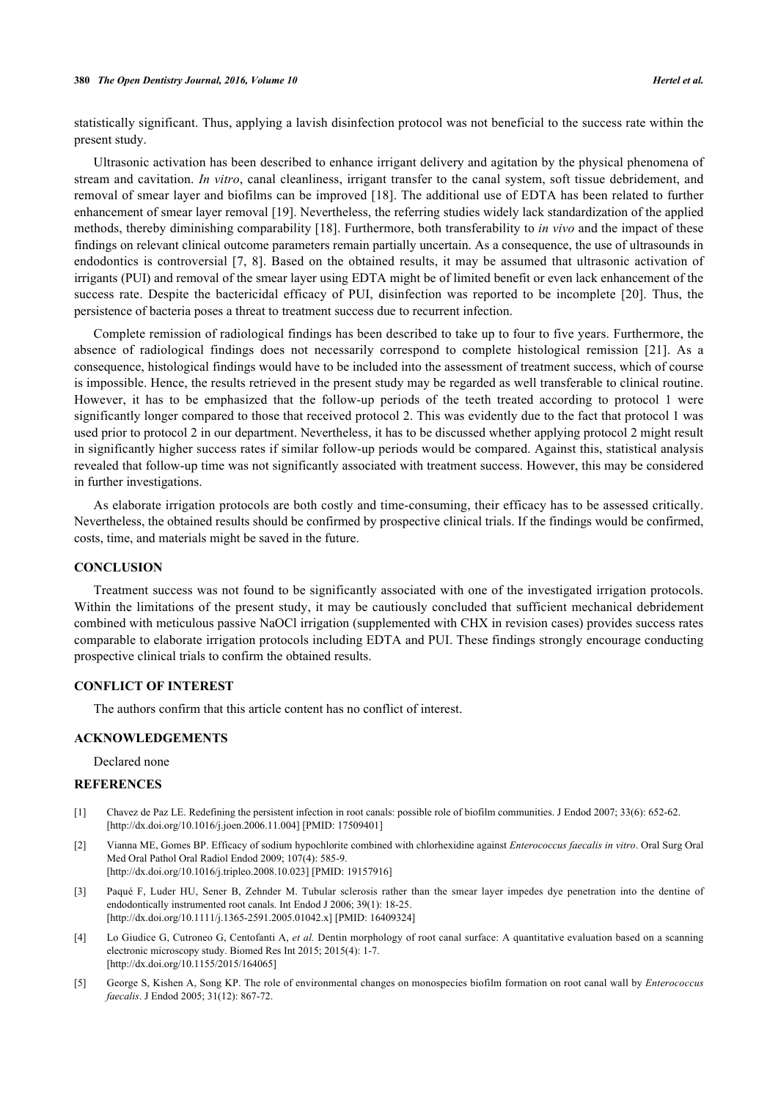statistically significant. Thus, applying a lavish disinfection protocol was not beneficial to the success rate within the present study.

Ultrasonic activation has been described to enhance irrigant delivery and agitation by the physical phenomena of stream and cavitation. *In vitro*, canal cleanliness, irrigant transfer to the canal system, soft tissue debridement, and removal of smear layer and biofilms can be improved [[18\]](#page-6-12). The additional use of EDTA has been related to further enhancement of smear layer removal [\[19](#page-6-13)]. Nevertheless, the referring studies widely lack standardization of the applied methods, thereby diminishing comparability [[18\]](#page-6-12). Furthermore, both transferability to *in vivo* and the impact of these findings on relevant clinical outcome parameters remain partially uncertain. As a consequence, the use of ultrasounds in endodontics is controversial [\[7](#page-6-1), [8\]](#page-6-2). Based on the obtained results, it may be assumed that ultrasonic activation of irrigants (PUI) and removal of the smear layer using EDTA might be of limited benefit or even lack enhancement of the success rate. Despite the bactericidal efficacy of PUI, disinfection was reported to be incomplete[[20](#page-6-14)]. Thus, the persistence of bacteria poses a threat to treatment success due to recurrent infection.

Complete remission of radiological findings has been described to take up to four to five years. Furthermore, the absence of radiological findings does not necessarily correspond to complete histological remission[[21](#page-6-15)]. As a consequence, histological findings would have to be included into the assessment of treatment success, which of course is impossible. Hence, the results retrieved in the present study may be regarded as well transferable to clinical routine. However, it has to be emphasized that the follow-up periods of the teeth treated according to protocol 1 were significantly longer compared to those that received protocol 2. This was evidently due to the fact that protocol 1 was used prior to protocol 2 in our department. Nevertheless, it has to be discussed whether applying protocol 2 might result in significantly higher success rates if similar follow-up periods would be compared. Against this, statistical analysis revealed that follow-up time was not significantly associated with treatment success. However, this may be considered in further investigations.

As elaborate irrigation protocols are both costly and time-consuming, their efficacy has to be assessed critically. Nevertheless, the obtained results should be confirmed by prospective clinical trials. If the findings would be confirmed, costs, time, and materials might be saved in the future.

# **CONCLUSION**

Treatment success was not found to be significantly associated with one of the investigated irrigation protocols. Within the limitations of the present study, it may be cautiously concluded that sufficient mechanical debridement combined with meticulous passive NaOCl irrigation (supplemented with CHX in revision cases) provides success rates comparable to elaborate irrigation protocols including EDTA and PUI. These findings strongly encourage conducting prospective clinical trials to confirm the obtained results.

# **CONFLICT OF INTEREST**

The authors confirm that this article content has no conflict of interest.

# **ACKNOWLEDGEMENTS**

Declared none

### **REFERENCES**

- <span id="page-5-0"></span>[1] Chavez de Paz LE. Redefining the persistent infection in root canals: possible role of biofilm communities. J Endod 2007; 33(6): 652-62. [\[http://dx.doi.org/10.1016/j.joen.2006.11.004\]](http://dx.doi.org/10.1016/j.joen.2006.11.004) [PMID: [17509401](http://www.ncbi.nlm.nih.gov/pubmed/17509401)]
- <span id="page-5-1"></span>[2] Vianna ME, Gomes BP. Efficacy of sodium hypochlorite combined with chlorhexidine against *Enterococcus faecalis in vitro*. Oral Surg Oral Med Oral Pathol Oral Radiol Endod 2009; 107(4): 585-9. [\[http://dx.doi.org/10.1016/j.tripleo.2008.10.023\]](http://dx.doi.org/10.1016/j.tripleo.2008.10.023) [PMID: [19157916](http://www.ncbi.nlm.nih.gov/pubmed/19157916)]
- <span id="page-5-2"></span>[3] Paqué F, Luder HU, Sener B, Zehnder M. Tubular sclerosis rather than the smear layer impedes dye penetration into the dentine of endodontically instrumented root canals. Int Endod J 2006; 39(1): 18-25. [\[http://dx.doi.org/10.1111/j.1365-2591.2005.01042.x\]](http://dx.doi.org/10.1111/j.1365-2591.2005.01042.x) [PMID: [16409324](http://www.ncbi.nlm.nih.gov/pubmed/16409324)]
- <span id="page-5-3"></span>[4] Lo Giudice G, Cutroneo G, Centofanti A, *et al.* Dentin morphology of root canal surface: A quantitative evaluation based on a scanning electronic microscopy study. Biomed Res Int 2015; 2015(4): 1-7. [\[http://dx.doi.org/10.1155/2015/164065](http://dx.doi.org/10.1155/2015/164065)]
- <span id="page-5-4"></span>[5] George S, Kishen A, Song KP. The role of environmental changes on monospecies biofilm formation on root canal wall by *Enterococcus faecalis*. J Endod 2005; 31(12): 867-72.